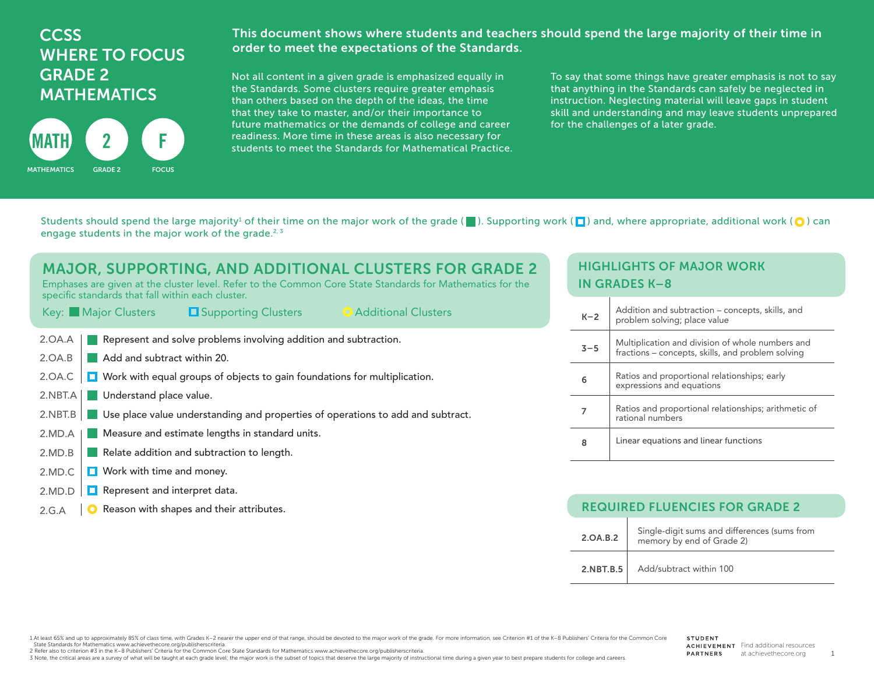# **CCSS** WHERE TO FOCUS GRADE 2 MATHEMATICS



This document shows where students and teachers should spend the large majority of their time in order to meet the expectations of the Standards.

Not all content in a given grade is emphasized equally in the Standards. Some clusters require greater emphasis than others based on the depth of the ideas, the time that they take to master, and/or their importance to future mathematics or the demands of college and career readiness. More time in these areas is also necessary for students to meet the Standards for Mathematical Practice. To say that some things have greater emphasis is not to say that anything in the Standards can safely be neglected in instruction. Neglecting material will leave gaps in student skill and understanding and may leave students unprepared for the challenges of a later grade.

Students should spend the large majority<sup>1</sup> of their time on the major work of the grade ( $\Box$ ). Supporting work ( $\Box$ ) and, where appropriate, additional work ( $\bigcirc$ ) can engage students in the major work of the grade.<sup>2, 3</sup>

#### MAJOR, SUPPORTING, AND ADDITIONAL CLUSTERS FOR GRADE 2 Emphases are given at the cluster level. Refer to the Common Core State Standards for Mathematics for the specific standards that fall within each cluster. Key: Major Clusters Gupporting Clusters Additional Clusters Additional Clusters Represent and solve problems involving addition and subtraction. **Add and subtract within 20. D** Work with equal groups of objects to gain foundations for multiplication. 2.NBT.A | Understand place value. Use place value understanding and properties of operations to add and subtract. **Measure and estimate lengths in standard units.** Relate addition and subtraction to length.  $\Box$  Work with time and money.  $\Box$  Represent and interpret data. 2.OA.A 2.OA.B 2.OA.C  $2.NBT.B$ 2.MD.A 2.MD.B 2.MD.C 2.MD.D

### HIGHLIGHTS OF MAJOR WORK IN GRADES K–8

| $K-2$   | Addition and subtraction – concepts, skills, and<br>problem solving; place value                      |
|---------|-------------------------------------------------------------------------------------------------------|
| $3 - 5$ | Multiplication and division of whole numbers and<br>fractions - concepts, skills, and problem solving |
| 6       | Ratios and proportional relationships; early<br>expressions and equations                             |
|         | Ratios and proportional relationships; arithmetic of<br>rational numbers                              |
| 8       | Linear equations and linear functions                                                                 |

| Reason with shapes and their attributes.<br>2.G.A | <b>REQUIRED FLUENCIES FOR GRADE 2</b> |                                                                           |  |
|---------------------------------------------------|---------------------------------------|---------------------------------------------------------------------------|--|
|                                                   | 2.0A.B.2                              | Single-digit sums and differences (sums from<br>memory by end of Grade 2) |  |
|                                                   |                                       | 2.NBT.B.5   Add/subtract within 100                                       |  |

1 At least 65% and up to approximately 85% of class time, with Grades K-2 nearer the upper end of that range, should be devoted to the major work of the grade. For more information, see Criterion #1 of the K-8 Publishers' State Standards for Mathematics www.achievethecore.org/publisherscriteria.

2 Refer also to criterion #3 in the K–8 Publishers' Criteria for the Common Core State Standards for Mathematics www.achievethecore.org/publisherscriteria.

3 Note, the critical areas are a survey of what will be taught at each grade level; the major work is the subset of topics that deserve the large majority of instructional time during a given year to best prepare students

1